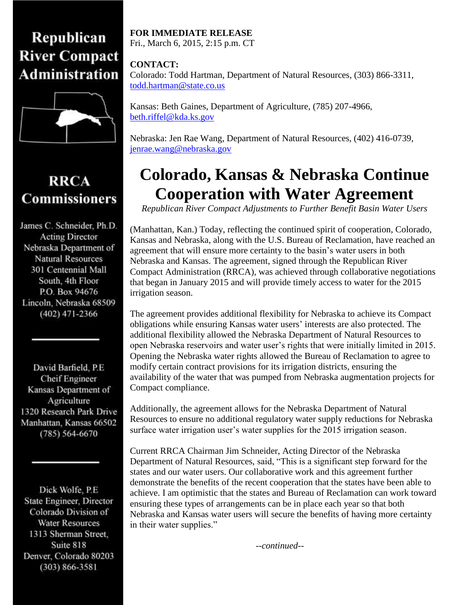## Republican **River Compact Administration**



## **RRCA Commissioners**

James C. Schneider, Ph.D. **Acting Director** Nebraska Department of Natural Resources 301 Centennial Mall South, 4th Floor P.O. Box 94676 Lincoln, Nebraska 68509  $(402)$  471-2366

David Barfield, P.E. **Cheif Engineer** Kansas Department of Agriculture 1320 Research Park Drive Manhattan, Kansas 66502  $(785) 564 - 6670$ 

Dick Wolfe, P.E. State Engineer, Director Colorado Division of **Water Resources** 1313 Sherman Street, Suite 818 Denver, Colorado 80203  $(303) 866 - 3581$ 

## **FOR IMMEDIATE RELEASE** Fri., March 6, 2015, 2:15 p.m. CT

**CONTACT:** Colorado: Todd Hartman, Department of Natural Resources, (303) 866-3311, [todd.hartman@state.co.us](mailto:todd.hartman@state.co.us)

Kansas: Beth Gaines, Department of Agriculture, (785) 207-4966, [beth.riffel@kda.ks.gov](mailto:beth.riffel@kda.ks.gov)

Nebraska: Jen Rae Wang, Department of Natural Resources, (402) 416-0739, [jenrae.wang@nebraska.gov](mailto:jenrae.wang@nebraska.gov)

## **Colorado, Kansas & Nebraska Continue Cooperation with Water Agreement**

*Republican River Compact Adjustments to Further Benefit Basin Water Users*

(Manhattan, Kan.) Today, reflecting the continued spirit of cooperation, Colorado, Kansas and Nebraska, along with the U.S. Bureau of Reclamation, have reached an agreement that will ensure more certainty to the basin's water users in both Nebraska and Kansas. The agreement, signed through the Republican River Compact Administration (RRCA), was achieved through collaborative negotiations that began in January 2015 and will provide timely access to water for the 2015 irrigation season.

The agreement provides additional flexibility for Nebraska to achieve its Compact obligations while ensuring Kansas water users' interests are also protected. The additional flexibility allowed the Nebraska Department of Natural Resources to open Nebraska reservoirs and water user's rights that were initially limited in 2015. Opening the Nebraska water rights allowed the Bureau of Reclamation to agree to modify certain contract provisions for its irrigation districts, ensuring the availability of the water that was pumped from Nebraska augmentation projects for Compact compliance.

Additionally, the agreement allows for the Nebraska Department of Natural Resources to ensure no additional regulatory water supply reductions for Nebraska surface water irrigation user's water supplies for the 2015 irrigation season.

Current RRCA Chairman Jim Schneider, Acting Director of the Nebraska Department of Natural Resources, said, "This is a significant step forward for the states and our water users. Our collaborative work and this agreement further demonstrate the benefits of the recent cooperation that the states have been able to achieve. I am optimistic that the states and Bureau of Reclamation can work toward ensuring these types of arrangements can be in place each year so that both Nebraska and Kansas water users will secure the benefits of having more certainty in their water supplies."

*--continued--*